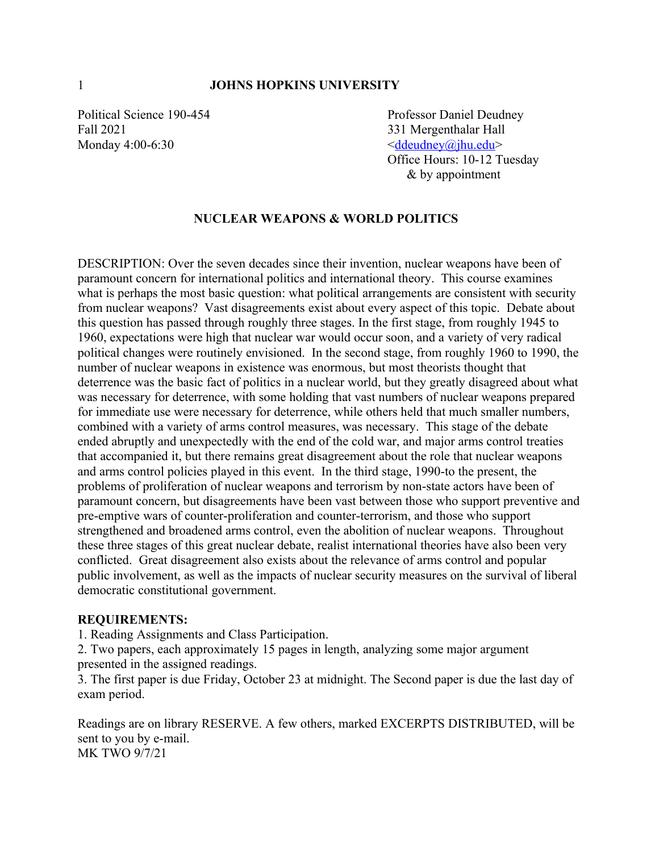Fall 2021 331 Mergenthalar Hall Monday  $4:00-6:30$   $\leq \underline{d} \underline{d}$   $\leq \underline{d} \underline{d}$   $\leq \underline{d} \underline{d}$   $\leq \underline{d}$   $\leq \underline{d}$   $\leq \underline{d}$ 

Political Science 190-454 Professor Daniel Deudney Office Hours: 10-12 Tuesday & by appointment

#### **NUCLEAR WEAPONS & WORLD POLITICS**

DESCRIPTION: Over the seven decades since their invention, nuclear weapons have been of paramount concern for international politics and international theory. This course examines what is perhaps the most basic question: what political arrangements are consistent with security from nuclear weapons? Vast disagreements exist about every aspect of this topic. Debate about this question has passed through roughly three stages. In the first stage, from roughly 1945 to 1960, expectations were high that nuclear war would occur soon, and a variety of very radical political changes were routinely envisioned. In the second stage, from roughly 1960 to 1990, the number of nuclear weapons in existence was enormous, but most theorists thought that deterrence was the basic fact of politics in a nuclear world, but they greatly disagreed about what was necessary for deterrence, with some holding that vast numbers of nuclear weapons prepared for immediate use were necessary for deterrence, while others held that much smaller numbers, combined with a variety of arms control measures, was necessary. This stage of the debate ended abruptly and unexpectedly with the end of the cold war, and major arms control treaties that accompanied it, but there remains great disagreement about the role that nuclear weapons and arms control policies played in this event. In the third stage, 1990-to the present, the problems of proliferation of nuclear weapons and terrorism by non-state actors have been of paramount concern, but disagreements have been vast between those who support preventive and pre-emptive wars of counter-proliferation and counter-terrorism, and those who support strengthened and broadened arms control, even the abolition of nuclear weapons. Throughout these three stages of this great nuclear debate, realist international theories have also been very conflicted. Great disagreement also exists about the relevance of arms control and popular public involvement, as well as the impacts of nuclear security measures on the survival of liberal democratic constitutional government.

#### **REQUIREMENTS:**

1. Reading Assignments and Class Participation.

2. Two papers, each approximately 15 pages in length, analyzing some major argument presented in the assigned readings.

3. The first paper is due Friday, October 23 at midnight. The Second paper is due the last day of exam period.

Readings are on library RESERVE. A few others, marked EXCERPTS DISTRIBUTED, will be sent to you by e-mail. MK TWO 9/7/21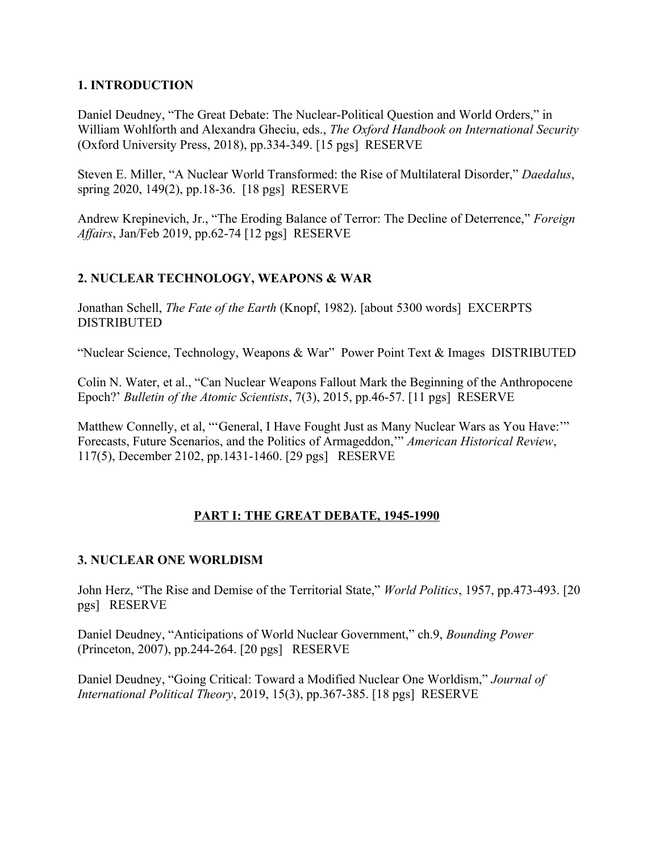#### **1. INTRODUCTION**

Daniel Deudney, "The Great Debate: The Nuclear-Political Question and World Orders," in William Wohlforth and Alexandra Gheciu, eds., *The Oxford Handbook on International Security* (Oxford University Press, 2018), pp.334-349. [15 pgs] RESERVE

Steven E. Miller, "A Nuclear World Transformed: the Rise of Multilateral Disorder," *Daedalus*, spring 2020, 149(2), pp.18-36. [18 pgs] RESERVE

Andrew Krepinevich, Jr., "The Eroding Balance of Terror: The Decline of Deterrence," *Foreign Affairs*, Jan/Feb 2019, pp.62-74 [12 pgs] RESERVE

## **2. NUCLEAR TECHNOLOGY, WEAPONS & WAR**

Jonathan Schell, *The Fate of the Earth* (Knopf, 1982). [about 5300 words] EXCERPTS DISTRIBUTED

"Nuclear Science, Technology, Weapons & War" Power Point Text & Images DISTRIBUTED

Colin N. Water, et al., "Can Nuclear Weapons Fallout Mark the Beginning of the Anthropocene Epoch?' *Bulletin of the Atomic Scientists*, 7(3), 2015, pp.46-57. [11 pgs] RESERVE

Matthew Connelly, et al, "'General, I Have Fought Just as Many Nuclear Wars as You Have:'" Forecasts, Future Scenarios, and the Politics of Armageddon,'" *American Historical Review*, 117(5), December 2102, pp.1431-1460. [29 pgs] RESERVE

#### **PART I: THE GREAT DEBATE, 1945-1990**

#### **3. NUCLEAR ONE WORLDISM**

John Herz, "The Rise and Demise of the Territorial State," *World Politics*, 1957, pp.473-493. [20 pgs] RESERVE

Daniel Deudney, "Anticipations of World Nuclear Government," ch.9, *Bounding Power*  (Princeton, 2007), pp.244-264. [20 pgs] RESERVE

Daniel Deudney, "Going Critical: Toward a Modified Nuclear One Worldism," *Journal of International Political Theory*, 2019, 15(3), pp.367-385. [18 pgs] RESERVE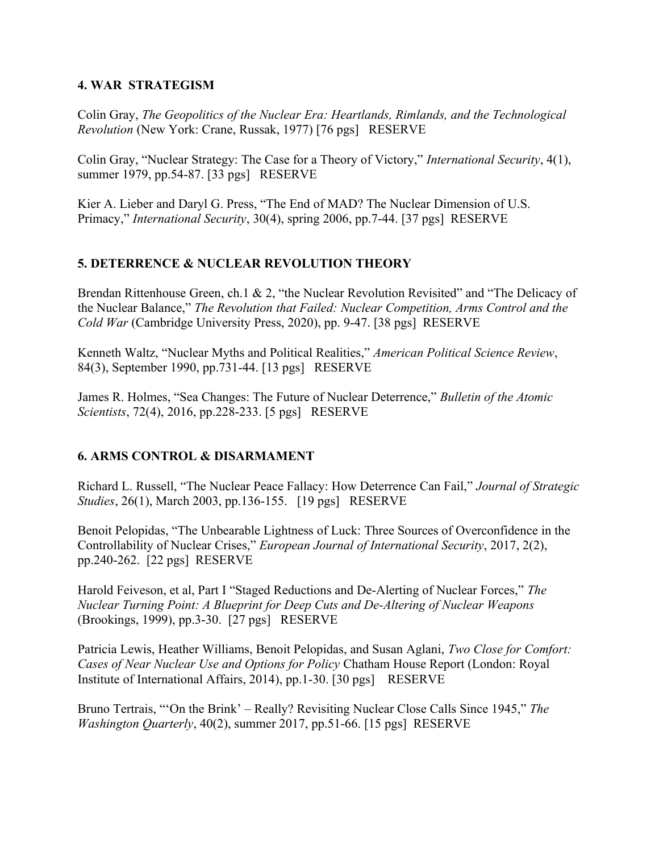#### **4. WAR STRATEGISM**

Colin Gray, *The Geopolitics of the Nuclear Era: Heartlands, Rimlands, and the Technological Revolution* (New York: Crane, Russak, 1977) [76 pgs] RESERVE

Colin Gray, "Nuclear Strategy: The Case for a Theory of Victory," *International Security*, 4(1), summer 1979, pp.54-87. [33 pgs] RESERVE

Kier A. Lieber and Daryl G. Press, "The End of MAD? The Nuclear Dimension of U.S. Primacy," *International Security*, 30(4), spring 2006, pp.7-44. [37 pgs] RESERVE

## **5. DETERRENCE & NUCLEAR REVOLUTION THEORY**

Brendan Rittenhouse Green, ch.1 & 2, "the Nuclear Revolution Revisited" and "The Delicacy of the Nuclear Balance," *The Revolution that Failed: Nuclear Competition, Arms Control and the Cold War* (Cambridge University Press, 2020), pp. 9-47. [38 pgs] RESERVE

Kenneth Waltz, "Nuclear Myths and Political Realities," *American Political Science Review*, 84(3), September 1990, pp.731-44. [13 pgs] RESERVE

James R. Holmes, "Sea Changes: The Future of Nuclear Deterrence," *Bulletin of the Atomic Scientists*, 72(4), 2016, pp.228-233. [5 pgs] RESERVE

#### **6. ARMS CONTROL & DISARMAMENT**

Richard L. Russell, "The Nuclear Peace Fallacy: How Deterrence Can Fail," *Journal of Strategic Studies*, 26(1), March 2003, pp.136-155. [19 pgs] RESERVE

Benoit Pelopidas, "The Unbearable Lightness of Luck: Three Sources of Overconfidence in the Controllability of Nuclear Crises," *European Journal of International Security*, 2017, 2(2), pp.240-262. [22 pgs] RESERVE

Harold Feiveson, et al, Part I "Staged Reductions and De-Alerting of Nuclear Forces," *The Nuclear Turning Point: A Blueprint for Deep Cuts and De-Altering of Nuclear Weapons*  (Brookings, 1999), pp.3-30. [27 pgs] RESERVE

Patricia Lewis, Heather Williams, Benoit Pelopidas, and Susan Aglani, *Two Close for Comfort: Cases of Near Nuclear Use and Options for Policy* Chatham House Report (London: Royal Institute of International Affairs, 2014), pp.1-30. [30 pgs] RESERVE

Bruno Tertrais, "'On the Brink' – Really? Revisiting Nuclear Close Calls Since 1945," *The Washington Quarterly*, 40(2), summer 2017, pp.51-66. [15 pgs] RESERVE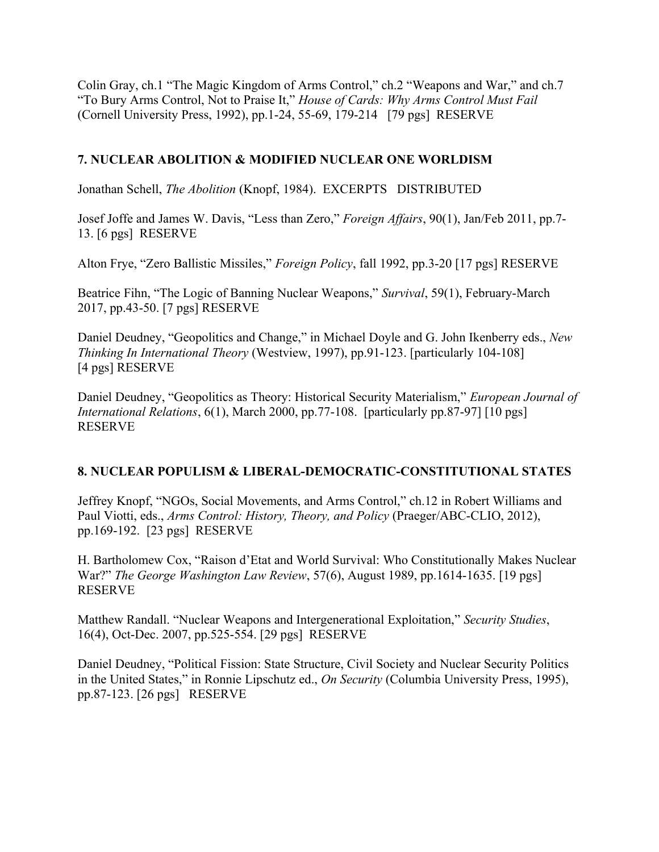Colin Gray, ch.1 "The Magic Kingdom of Arms Control," ch.2 "Weapons and War," and ch.7 "To Bury Arms Control, Not to Praise It," *House of Cards: Why Arms Control Must Fail*  (Cornell University Press, 1992), pp.1-24, 55-69, 179-214 [79 pgs] RESERVE

## **7. NUCLEAR ABOLITION & MODIFIED NUCLEAR ONE WORLDISM**

Jonathan Schell, *The Abolition* (Knopf, 1984). EXCERPTS DISTRIBUTED

Josef Joffe and James W. Davis, "Less than Zero," *Foreign Affairs*, 90(1), Jan/Feb 2011, pp.7- 13. [6 pgs] RESERVE

Alton Frye, "Zero Ballistic Missiles," *Foreign Policy*, fall 1992, pp.3-20 [17 pgs] RESERVE

Beatrice Fihn, "The Logic of Banning Nuclear Weapons," *Survival*, 59(1), February-March 2017, pp.43-50. [7 pgs] RESERVE

Daniel Deudney, "Geopolitics and Change," in Michael Doyle and G. John Ikenberry eds., *New Thinking In International Theory* (Westview, 1997), pp.91-123. [particularly 104-108] [4 pgs] RESERVE

Daniel Deudney, "Geopolitics as Theory: Historical Security Materialism," *European Journal of International Relations*, 6(1), March 2000, pp.77-108. [particularly pp.87-97] [10 pgs] RESERVE

#### **8. NUCLEAR POPULISM & LIBERAL-DEMOCRATIC-CONSTITUTIONAL STATES**

Jeffrey Knopf, "NGOs, Social Movements, and Arms Control," ch.12 in Robert Williams and Paul Viotti, eds., *Arms Control: History, Theory, and Policy* (Praeger/ABC-CLIO, 2012), pp.169-192. [23 pgs] RESERVE

H. Bartholomew Cox, "Raison d'Etat and World Survival: Who Constitutionally Makes Nuclear War?" *The George Washington Law Review*, 57(6), August 1989, pp.1614-1635. [19 pgs] RESERVE

Matthew Randall. "Nuclear Weapons and Intergenerational Exploitation," *Security Studies*, 16(4), Oct-Dec. 2007, pp.525-554. [29 pgs] RESERVE

Daniel Deudney, "Political Fission: State Structure, Civil Society and Nuclear Security Politics in the United States," in Ronnie Lipschutz ed., *On Security* (Columbia University Press, 1995), pp.87-123. [26 pgs] RESERVE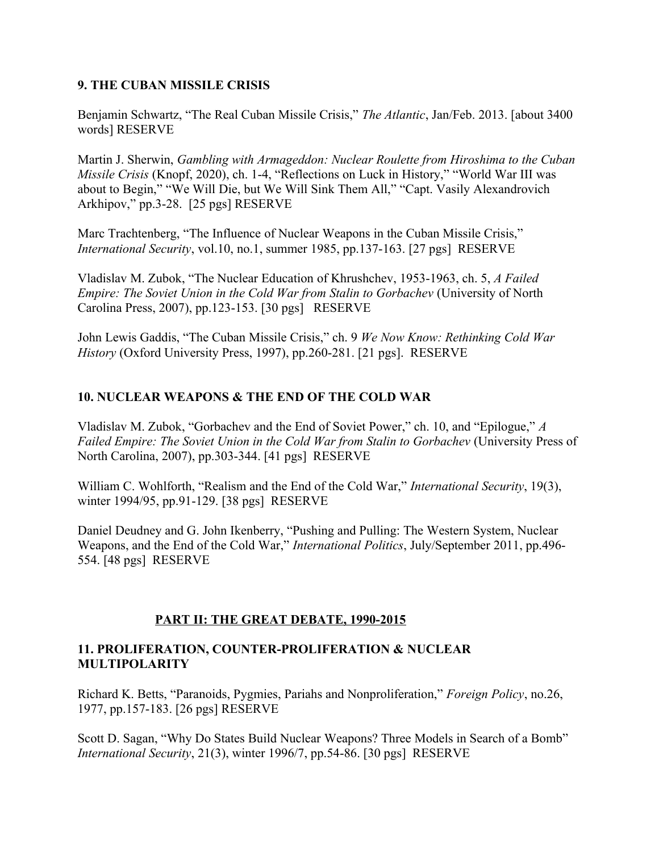#### **9. THE CUBAN MISSILE CRISIS**

Benjamin Schwartz, "The Real Cuban Missile Crisis," *The Atlantic*, Jan/Feb. 2013. [about 3400 words] RESERVE

Martin J. Sherwin, *Gambling with Armageddon: Nuclear Roulette from Hiroshima to the Cuban Missile Crisis* (Knopf, 2020), ch. 1-4, "Reflections on Luck in History," "World War III was about to Begin," "We Will Die, but We Will Sink Them All," "Capt. Vasily Alexandrovich Arkhipov," pp.3-28. [25 pgs] RESERVE

Marc Trachtenberg, "The Influence of Nuclear Weapons in the Cuban Missile Crisis," *International Security*, vol.10, no.1, summer 1985, pp.137-163. [27 pgs] RESERVE

Vladislav M. Zubok, "The Nuclear Education of Khrushchev, 1953-1963, ch. 5, *A Failed Empire: The Soviet Union in the Cold War from Stalin to Gorbachev* (University of North Carolina Press, 2007), pp.123-153. [30 pgs] RESERVE

John Lewis Gaddis, "The Cuban Missile Crisis," ch. 9 *We Now Know: Rethinking Cold War History* (Oxford University Press, 1997), pp.260-281. [21 pgs]. RESERVE

## **10. NUCLEAR WEAPONS & THE END OF THE COLD WAR**

Vladislav M. Zubok, "Gorbachev and the End of Soviet Power," ch. 10, and "Epilogue," *A Failed Empire: The Soviet Union in the Cold War from Stalin to Gorbachev (University Press of* North Carolina, 2007), pp.303-344. [41 pgs] RESERVE

William C. Wohlforth, "Realism and the End of the Cold War," *International Security*, 19(3), winter 1994/95, pp.91-129. [38 pgs] RESERVE

Daniel Deudney and G. John Ikenberry, "Pushing and Pulling: The Western System, Nuclear Weapons, and the End of the Cold War," *International Politics*, July/September 2011, pp.496- 554. [48 pgs] RESERVE

#### **PART II: THE GREAT DEBATE, 1990-2015**

#### **11. PROLIFERATION, COUNTER-PROLIFERATION & NUCLEAR MULTIPOLARITY**

Richard K. Betts, "Paranoids, Pygmies, Pariahs and Nonproliferation," *Foreign Policy*, no.26, 1977, pp.157-183. [26 pgs] RESERVE

Scott D. Sagan, "Why Do States Build Nuclear Weapons? Three Models in Search of a Bomb" *International Security*, 21(3), winter 1996/7, pp.54-86. [30 pgs] RESERVE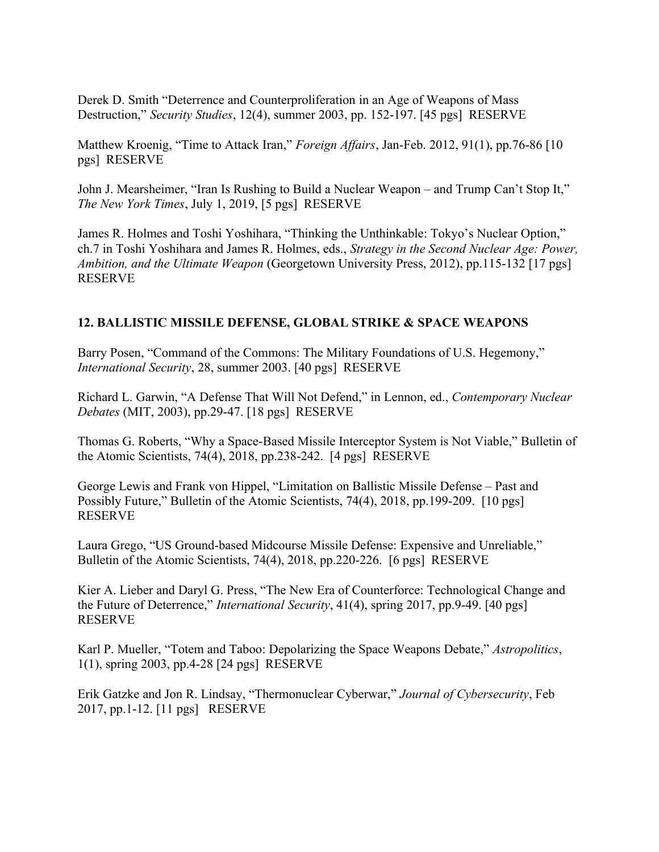Derek D. Smith "Deterrence and Counterproliferation in an Age of Weapons of Mass Destruction," *Security Studies*, 12(4), summer 2003, pp. 152-197. [45 pgs] RESERVE

Matthew Kroenig, "Time to Attack Iran," *Foreign Affairs*, Jan-Feb. 2012, 91(1), pp.76-86 [10 pgs] RESERVE

John J. Mearsheimer, "Iran Is Rushing to Build a Nuclear Weapon – and Trump Can't Stop It," *The New York Times*, July 1, 2019, [5 pgs] RESERVE

James R. Holmes and Toshi Yoshihara, "Thinking the Unthinkable: Tokyo's Nuclear Option," ch.7 in Toshi Yoshihara and James R. Holmes, eds., *Strategy in the Second Nuclear Age: Power, Ambition, and the Ultimate Weapon* (Georgetown University Press, 2012), pp.115-132 [17 pgs] RESERVE

## **12. BALLISTIC MISSILE DEFENSE, GLOBAL STRIKE & SPACE WEAPONS**

Barry Posen, "Command of the Commons: The Military Foundations of U.S. Hegemony," *International Security*, 28, summer 2003. [40 pgs] RESERVE

Richard L. Garwin, "A Defense That Will Not Defend," in Lennon, ed., *Contemporary Nuclear Debates* (MIT, 2003), pp.29-47. [18 pgs] RESERVE

Thomas G. Roberts, "Why a Space-Based Missile Interceptor System is Not Viable," Bulletin of the Atomic Scientists, 74(4), 2018, pp.238-242. [4 pgs] RESERVE

George Lewis and Frank von Hippel, "Limitation on Ballistic Missile Defense – Past and Possibly Future," Bulletin of the Atomic Scientists, 74(4), 2018, pp.199-209. [10 pgs] RESERVE

Laura Grego, "US Ground-based Midcourse Missile Defense: Expensive and Unreliable," Bulletin of the Atomic Scientists, 74(4), 2018, pp.220-226. [6 pgs] RESERVE

Kier A. Lieber and Daryl G. Press, "The New Era of Counterforce: Technological Change and the Future of Deterrence," *International Security*, 41(4), spring 2017, pp.9-49. [40 pgs] RESERVE

Karl P. Mueller, "Totem and Taboo: Depolarizing the Space Weapons Debate," *Astropolitics*, 1(1), spring 2003, pp.4-28 [24 pgs] RESERVE

Erik Gatzke and Jon R. Lindsay, "Thermonuclear Cyberwar," *Journal of Cybersecurity*, Feb 2017, pp.1-12. [11 pgs] RESERVE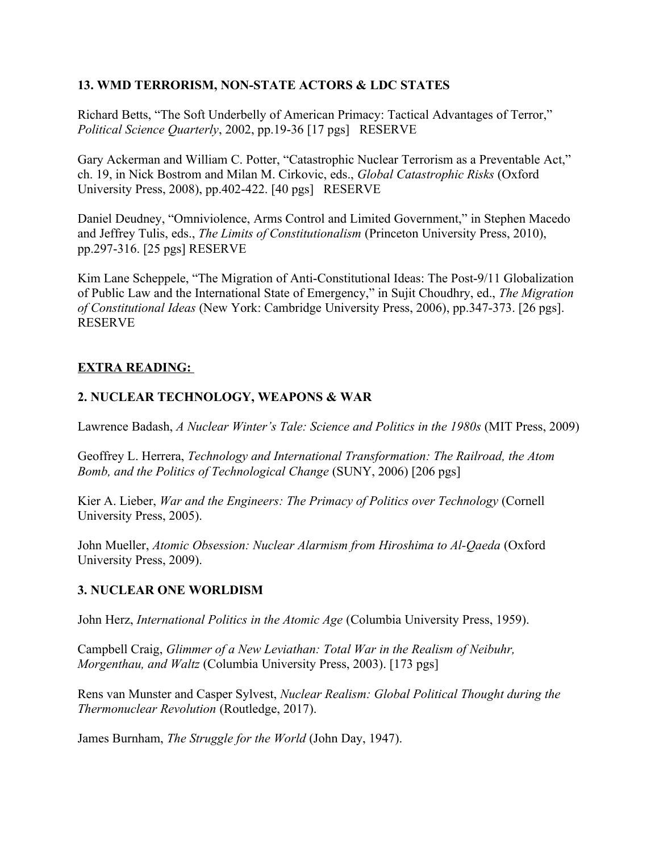#### **13. WMD TERRORISM, NON-STATE ACTORS & LDC STATES**

Richard Betts, "The Soft Underbelly of American Primacy: Tactical Advantages of Terror," *Political Science Quarterly*, 2002, pp.19-36 [17 pgs] RESERVE

Gary Ackerman and William C. Potter, "Catastrophic Nuclear Terrorism as a Preventable Act," ch. 19, in Nick Bostrom and Milan M. Cirkovic, eds., *Global Catastrophic Risks* (Oxford University Press, 2008), pp.402-422. [40 pgs] RESERVE

Daniel Deudney, "Omniviolence, Arms Control and Limited Government," in Stephen Macedo and Jeffrey Tulis, eds., *The Limits of Constitutionalism* (Princeton University Press, 2010), pp.297-316. [25 pgs] RESERVE

Kim Lane Scheppele, "The Migration of Anti-Constitutional Ideas: The Post-9/11 Globalization of Public Law and the International State of Emergency," in Sujit Choudhry, ed., *The Migration of Constitutional Ideas* (New York: Cambridge University Press, 2006), pp.347-373. [26 pgs]. RESERVE

## **EXTRA READING:**

## **2. NUCLEAR TECHNOLOGY, WEAPONS & WAR**

Lawrence Badash, *A Nuclear Winter's Tale: Science and Politics in the 1980s* (MIT Press, 2009)

Geoffrey L. Herrera, *Technology and International Transformation: The Railroad, the Atom Bomb, and the Politics of Technological Change* (SUNY, 2006) [206 pgs]

Kier A. Lieber, *War and the Engineers: The Primacy of Politics over Technology* (Cornell University Press, 2005).

John Mueller, *Atomic Obsession: Nuclear Alarmism from Hiroshima to Al-Qaeda* (Oxford University Press, 2009).

#### **3. NUCLEAR ONE WORLDISM**

John Herz, *International Politics in the Atomic Age* (Columbia University Press, 1959).

Campbell Craig, *Glimmer of a New Leviathan: Total War in the Realism of Neibuhr, Morgenthau, and Waltz* (Columbia University Press, 2003). [173 pgs]

Rens van Munster and Casper Sylvest, *Nuclear Realism: Global Political Thought during the Thermonuclear Revolution* (Routledge, 2017).

James Burnham, *The Struggle for the World* (John Day, 1947).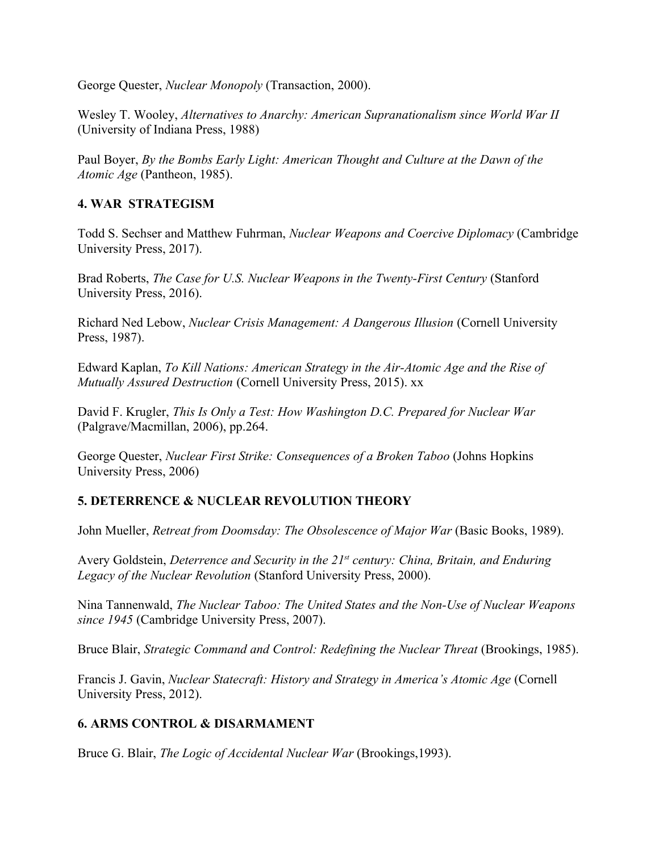George Quester, *Nuclear Monopoly* (Transaction, 2000).

Wesley T. Wooley, *Alternatives to Anarchy: American Supranationalism since World War II* (University of Indiana Press, 1988)

Paul Boyer, *By the Bombs Early Light: American Thought and Culture at the Dawn of the Atomic Age* (Pantheon, 1985).

#### **4. WAR STRATEGISM**

Todd S. Sechser and Matthew Fuhrman, *Nuclear Weapons and Coercive Diplomacy* (Cambridge University Press, 2017).

Brad Roberts, *The Case for U.S. Nuclear Weapons in the Twenty-First Century* (Stanford University Press, 2016).

Richard Ned Lebow, *Nuclear Crisis Management: A Dangerous Illusion* (Cornell University Press, 1987).

Edward Kaplan, *To Kill Nations: American Strategy in the Air-Atomic Age and the Rise of Mutually Assured Destruction* (Cornell University Press, 2015). xx

David F. Krugler, *This Is Only a Test: How Washington D.C. Prepared for Nuclear War* (Palgrave/Macmillan, 2006), pp.264.

George Quester, *Nuclear First Strike: Consequences of a Broken Taboo* (Johns Hopkins University Press, 2006)

#### **5. DETERRENCE & NUCLEAR REVOLUTION THEORY**

John Mueller, *Retreat from Doomsday: The Obsolescence of Major War* (Basic Books, 1989).

Avery Goldstein, *Deterrence and Security in the 21st century: China, Britain, and Enduring Legacy of the Nuclear Revolution* (Stanford University Press, 2000).

Nina Tannenwald, *The Nuclear Taboo: The United States and the Non-Use of Nuclear Weapons since 1945* (Cambridge University Press, 2007).

Bruce Blair, *Strategic Command and Control: Redefining the Nuclear Threat* (Brookings, 1985).

Francis J. Gavin, *Nuclear Statecraft: History and Strategy in America's Atomic Age* (Cornell University Press, 2012).

#### **6. ARMS CONTROL & DISARMAMENT**

Bruce G. Blair, *The Logic of Accidental Nuclear War* (Brookings,1993).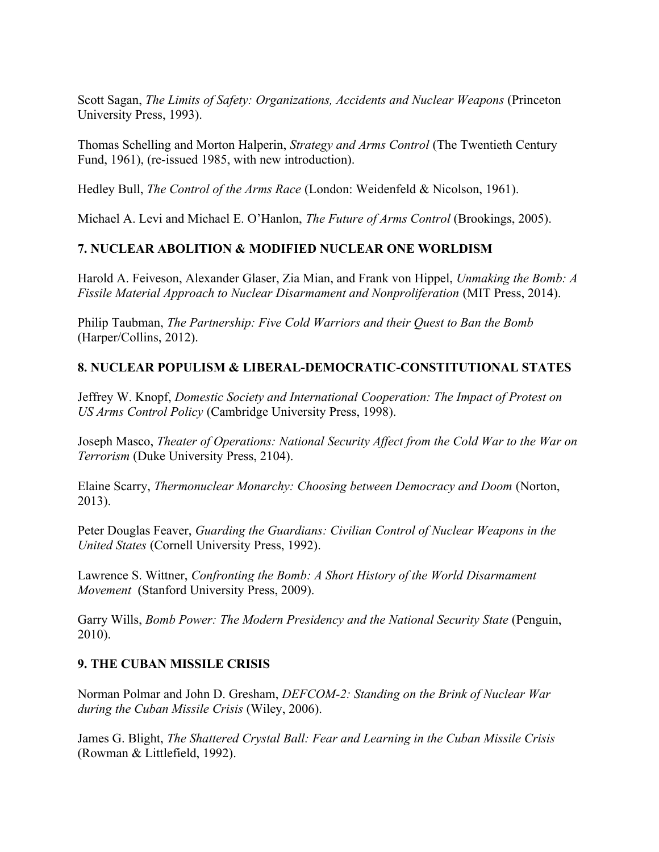Scott Sagan, *The Limits of Safety: Organizations, Accidents and Nuclear Weapons* (Princeton University Press, 1993).

Thomas Schelling and Morton Halperin, *Strategy and Arms Control* (The Twentieth Century Fund, 1961), (re-issued 1985, with new introduction).

Hedley Bull, *The Control of the Arms Race* (London: Weidenfeld & Nicolson, 1961).

Michael A. Levi and Michael E. O'Hanlon, *The Future of Arms Control* (Brookings, 2005).

# **7. NUCLEAR ABOLITION & MODIFIED NUCLEAR ONE WORLDISM**

Harold A. Feiveson, Alexander Glaser, Zia Mian, and Frank von Hippel, *Unmaking the Bomb: A Fissile Material Approach to Nuclear Disarmament and Nonproliferation* (MIT Press, 2014).

Philip Taubman, *The Partnership: Five Cold Warriors and their Quest to Ban the Bomb*  (Harper/Collins, 2012).

# **8. NUCLEAR POPULISM & LIBERAL-DEMOCRATIC-CONSTITUTIONAL STATES**

Jeffrey W. Knopf, *Domestic Society and International Cooperation: The Impact of Protest on US Arms Control Policy* (Cambridge University Press, 1998).

Joseph Masco, *Theater of Operations: National Security Affect from the Cold War to the War on Terrorism* (Duke University Press, 2104).

Elaine Scarry, *Thermonuclear Monarchy: Choosing between Democracy and Doom* (Norton, 2013).

Peter Douglas Feaver, *Guarding the Guardians: Civilian Control of Nuclear Weapons in the United States* (Cornell University Press, 1992).

Lawrence S. Wittner, *Confronting the Bomb: A Short History of the World Disarmament Movement* (Stanford University Press, 2009).

Garry Wills, *Bomb Power: The Modern Presidency and the National Security State* (Penguin, 2010).

## **9. THE CUBAN MISSILE CRISIS**

Norman Polmar and John D. Gresham, *DEFCOM-2: Standing on the Brink of Nuclear War during the Cuban Missile Crisis* (Wiley, 2006).

James G. Blight, *The Shattered Crystal Ball: Fear and Learning in the Cuban Missile Crisis* (Rowman & Littlefield, 1992).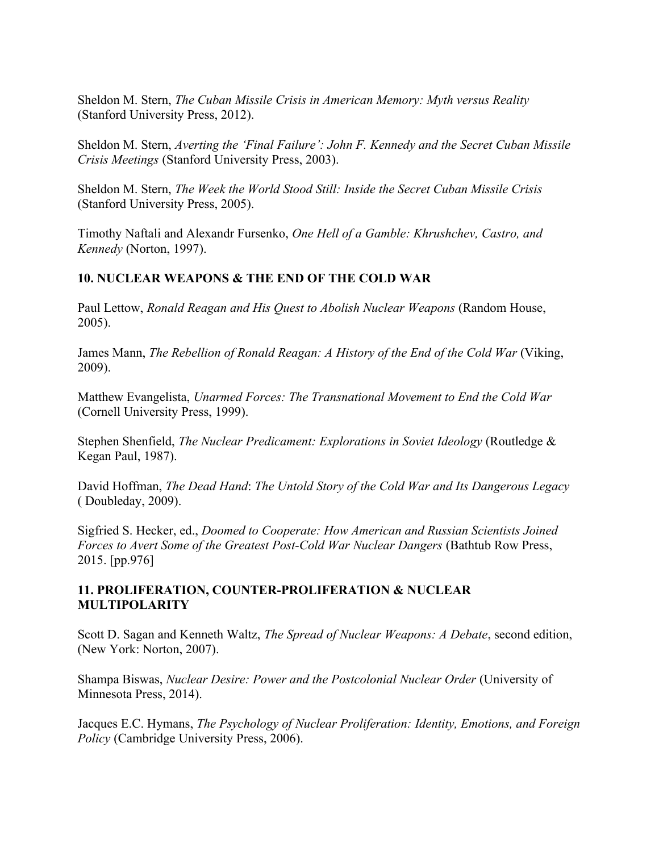Sheldon M. Stern, *The Cuban Missile Crisis in American Memory: Myth versus Reality* (Stanford University Press, 2012).

Sheldon M. Stern, *Averting the 'Final Failure': John F. Kennedy and the Secret Cuban Missile Crisis Meetings* (Stanford University Press, 2003).

Sheldon M. Stern, *The Week the World Stood Still: Inside the Secret Cuban Missile Crisis* (Stanford University Press, 2005).

Timothy Naftali and Alexandr Fursenko, *One Hell of a Gamble: Khrushchev, Castro, and Kennedy* (Norton, 1997).

## **10. NUCLEAR WEAPONS & THE END OF THE COLD WAR**

Paul Lettow, *Ronald Reagan and His Quest to Abolish Nuclear Weapons* (Random House, 2005).

James Mann, *The Rebellion of Ronald Reagan: A History of the End of the Cold War* (Viking, 2009).

Matthew Evangelista, *Unarmed Forces: The Transnational Movement to End the Cold War*  (Cornell University Press, 1999).

Stephen Shenfield, *The Nuclear Predicament: Explorations in Soviet Ideology* (Routledge & Kegan Paul, 1987).

David Hoffman, *The Dead Hand*: *The Untold Story of the Cold War and Its Dangerous Legacy*  ( Doubleday, 2009).

Sigfried S. Hecker, ed., *Doomed to Cooperate: How American and Russian Scientists Joined Forces to Avert Some of the Greatest Post-Cold War Nuclear Dangers* (Bathtub Row Press, 2015. [pp.976]

#### **11. PROLIFERATION, COUNTER-PROLIFERATION & NUCLEAR MULTIPOLARITY**

Scott D. Sagan and Kenneth Waltz, *The Spread of Nuclear Weapons: A Debate*, second edition, (New York: Norton, 2007).

Shampa Biswas, *Nuclear Desire: Power and the Postcolonial Nuclear Order* (University of Minnesota Press, 2014).

Jacques E.C. Hymans, *The Psychology of Nuclear Proliferation: Identity, Emotions, and Foreign Policy* (Cambridge University Press, 2006).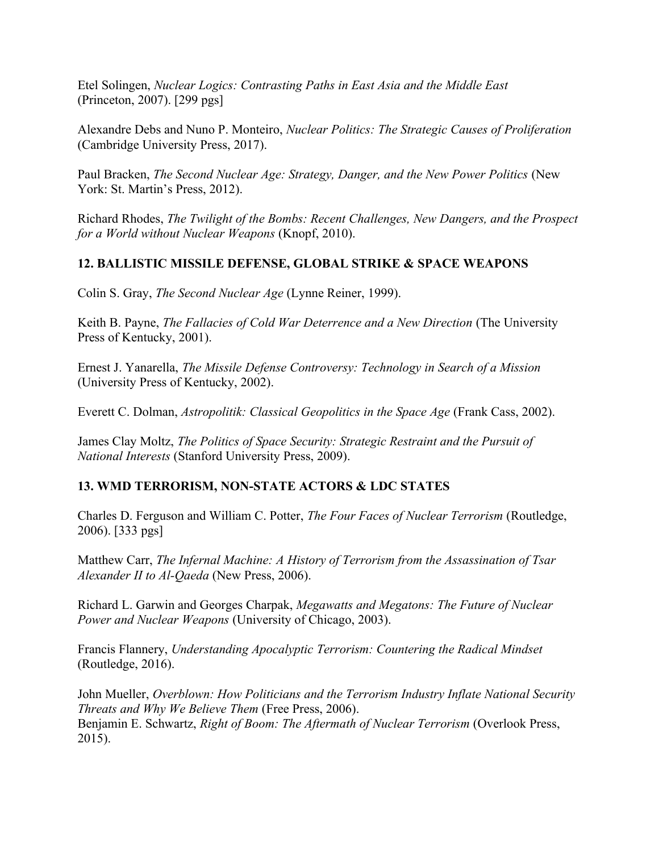Etel Solingen, *Nuclear Logics: Contrasting Paths in East Asia and the Middle East* (Princeton, 2007). [299 pgs]

Alexandre Debs and Nuno P. Monteiro, *Nuclear Politics: The Strategic Causes of Proliferation*  (Cambridge University Press, 2017).

Paul Bracken, *The Second Nuclear Age: Strategy, Danger, and the New Power Politics* (New York: St. Martin's Press, 2012).

Richard Rhodes, *The Twilight of the Bombs: Recent Challenges, New Dangers, and the Prospect for a World without Nuclear Weapons* (Knopf, 2010).

## **12. BALLISTIC MISSILE DEFENSE, GLOBAL STRIKE & SPACE WEAPONS**

Colin S. Gray, *The Second Nuclear Age* (Lynne Reiner, 1999).

Keith B. Payne, *The Fallacies of Cold War Deterrence and a New Direction* (The University Press of Kentucky, 2001).

Ernest J. Yanarella, *The Missile Defense Controversy: Technology in Search of a Mission* (University Press of Kentucky, 2002).

Everett C. Dolman, *Astropolitik: Classical Geopolitics in the Space Age* (Frank Cass, 2002).

James Clay Moltz, *The Politics of Space Security: Strategic Restraint and the Pursuit of National Interests* (Stanford University Press, 2009).

#### **13. WMD TERRORISM, NON-STATE ACTORS & LDC STATES**

Charles D. Ferguson and William C. Potter, *The Four Faces of Nuclear Terrorism* (Routledge, 2006). [333 pgs]

Matthew Carr, *The Infernal Machine: A History of Terrorism from the Assassination of Tsar Alexander II to Al-Qaeda* (New Press, 2006).

Richard L. Garwin and Georges Charpak, *Megawatts and Megatons: The Future of Nuclear Power and Nuclear Weapons* (University of Chicago, 2003).

Francis Flannery, *Understanding Apocalyptic Terrorism: Countering the Radical Mindset* (Routledge, 2016).

John Mueller, *Overblown: How Politicians and the Terrorism Industry Inflate National Security Threats and Why We Believe Them* (Free Press, 2006). Benjamin E. Schwartz, *Right of Boom: The Aftermath of Nuclear Terrorism* (Overlook Press, 2015).